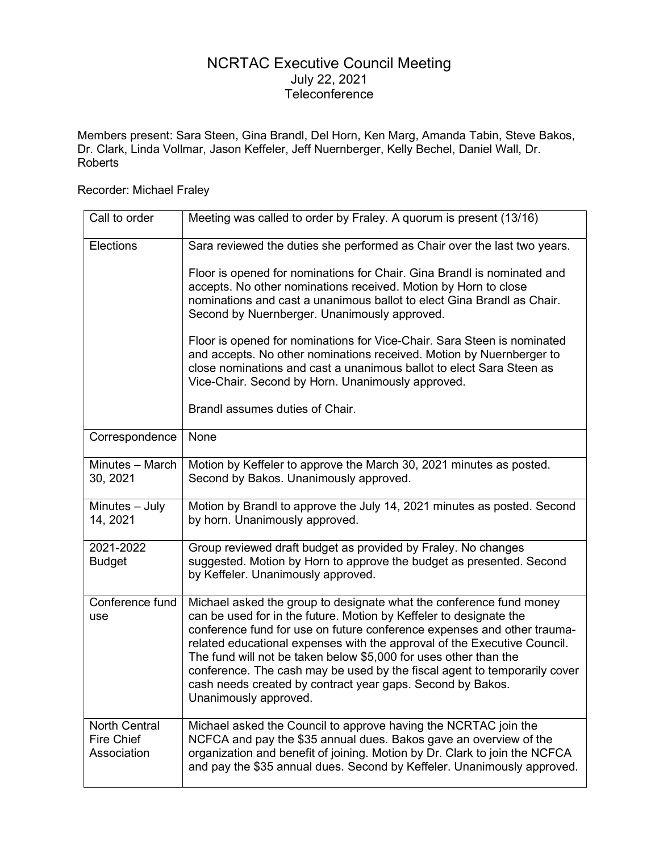## NCRTAC Executive Council Meeting July 22, 2021 Teleconference

Members present: Sara Steen, Gina Brandl, Del Horn, Ken Marg, Amanda Tabin, Steve Bakos, Dr. Clark, Linda Vollmar, Jason Keffeler, Jeff Nuernberger, Kelly Bechel, Daniel Wall, Dr. Roberts

## Recorder: Michael Fraley

| Call to order                                     | Meeting was called to order by Fraley. A quorum is present (13/16)                                                                                                                                                                                                                                                                                                                                                                                                                                                                       |
|---------------------------------------------------|------------------------------------------------------------------------------------------------------------------------------------------------------------------------------------------------------------------------------------------------------------------------------------------------------------------------------------------------------------------------------------------------------------------------------------------------------------------------------------------------------------------------------------------|
| Elections                                         | Sara reviewed the duties she performed as Chair over the last two years.                                                                                                                                                                                                                                                                                                                                                                                                                                                                 |
|                                                   | Floor is opened for nominations for Chair. Gina Brandl is nominated and<br>accepts. No other nominations received. Motion by Horn to close<br>nominations and cast a unanimous ballot to elect Gina Brandl as Chair.<br>Second by Nuernberger. Unanimously approved.                                                                                                                                                                                                                                                                     |
|                                                   | Floor is opened for nominations for Vice-Chair. Sara Steen is nominated<br>and accepts. No other nominations received. Motion by Nuernberger to<br>close nominations and cast a unanimous ballot to elect Sara Steen as<br>Vice-Chair. Second by Horn. Unanimously approved.                                                                                                                                                                                                                                                             |
|                                                   | Brandl assumes duties of Chair.                                                                                                                                                                                                                                                                                                                                                                                                                                                                                                          |
| Correspondence                                    | None                                                                                                                                                                                                                                                                                                                                                                                                                                                                                                                                     |
| Minutes - March<br>30, 2021                       | Motion by Keffeler to approve the March 30, 2021 minutes as posted.<br>Second by Bakos. Unanimously approved.                                                                                                                                                                                                                                                                                                                                                                                                                            |
| Minutes - July<br>14, 2021                        | Motion by Brandl to approve the July 14, 2021 minutes as posted. Second<br>by horn. Unanimously approved.                                                                                                                                                                                                                                                                                                                                                                                                                                |
| 2021-2022<br><b>Budget</b>                        | Group reviewed draft budget as provided by Fraley. No changes<br>suggested. Motion by Horn to approve the budget as presented. Second<br>by Keffeler. Unanimously approved.                                                                                                                                                                                                                                                                                                                                                              |
| Conference fund<br>use                            | Michael asked the group to designate what the conference fund money<br>can be used for in the future. Motion by Keffeler to designate the<br>conference fund for use on future conference expenses and other trauma-<br>related educational expenses with the approval of the Executive Council.<br>The fund will not be taken below \$5,000 for uses other than the<br>conference. The cash may be used by the fiscal agent to temporarily cover<br>cash needs created by contract year gaps. Second by Bakos.<br>Unanimously approved. |
| <b>North Central</b><br>Fire Chief<br>Association | Michael asked the Council to approve having the NCRTAC join the<br>NCFCA and pay the \$35 annual dues. Bakos gave an overview of the<br>organization and benefit of joining. Motion by Dr. Clark to join the NCFCA<br>and pay the \$35 annual dues. Second by Keffeler. Unanimously approved.                                                                                                                                                                                                                                            |